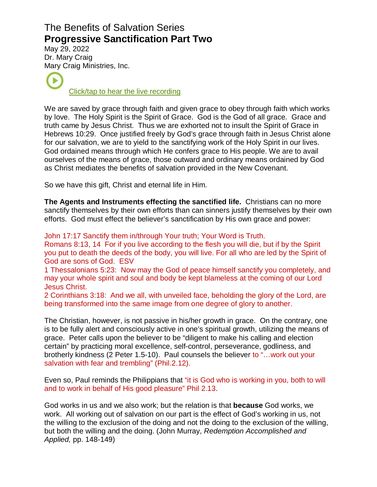## The Benefits of Salvation Series **Progressive Sanctification Part Two**

May 29, 2022 Dr. Mar[y Cra](https://www.podbean.com/ew/pb-s9pzk-123b0b6)ig Mary Craig Ministries, Inc.

[Click/tap to hear the live recording](https://www.podbean.com/ew/pb-s9pzk-123b0b6)

We are saved by grace through faith and given grace to obey through faith which works by love. The Holy Spirit is the Spirit of Grace. God is the God of all grace. Grace and truth came by Jesus Christ. Thus we are exhorted not to insult the Spirit of Grace in Hebrews 10:29. Once justified freely by God's grace through faith in Jesus Christ alone for our salvation, we are to yield to the sanctifying work of the Holy Spirit in our lives. God ordained means through which He confers grace to His people. We are to avail ourselves of the means of grace, those outward and ordinary means ordained by God as Christ mediates the benefits of salvation provided in the New Covenant.

So we have this gift, Christ and eternal life in Him.

**The Agents and Instruments effecting the sanctified life.** Christians can no more sanctify themselves by their own efforts than can sinners justify themselves by their own efforts. God must effect the believer's sanctification by His own grace and power:

John 17:17 Sanctify them in/through Your truth; Your Word is Truth.

Romans 8:13, 14 For if you live according to the flesh you will die, but if by the Spirit you put to death the deeds of the body, you will live. For all who are led by the Spirit of God are sons of God. ESV

1 Thessalonians 5:23: Now may the God of peace himself sanctify you completely, and may your whole spirit and soul and body be kept blameless at the coming of our Lord Jesus Christ.

2 Corinthians 3:18: And we all, with unveiled face, beholding the glory of the Lord, are being transformed into the same image from one degree of glory to another.

The Christian, however, is not passive in his/her growth in grace. On the contrary, one is to be fully alert and consciously active in one's spiritual growth, utilizing the means of grace. Peter calls upon the believer to be "diligent to make his calling and election certain" by practicing moral excellence, self-control, perseverance, godliness, and brotherly kindness (2 Peter 1.5-10). Paul counsels the believer to "…work out your salvation with fear and trembling" (Phil.2.12).

Even so, Paul reminds the Philippians that "it is God who is working in you, both to will and to work in behalf of His good pleasure" Phil 2.13.

God works in us and we also work; but the relation is that **because** God works, we work. All working out of salvation on our part is the effect of God's working in us, not the willing to the exclusion of the doing and not the doing to the exclusion of the willing, but both the willing and the doing. (John Murray, Redemption Accomplished and Applied, pp. 148-149)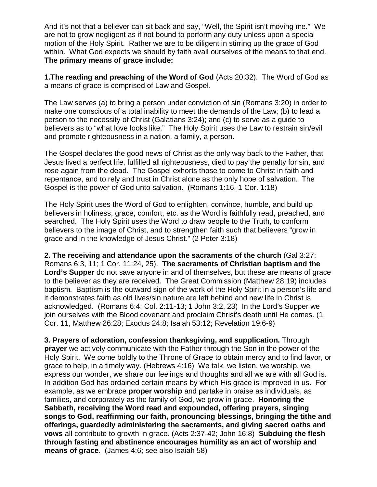And it's not that a believer can sit back and say, "Well, the Spirit isn't moving me." We are not to grow negligent as if not bound to perform any duty unless upon a special motion of the Holy Spirit. Rather we are to be diligent in stirring up the grace of God within. What God expects we should by faith avail ourselves of the means to that end. **The primary means of grace include:** 

**1.The reading and preaching of the Word of God** (Acts 20:32). The Word of God as a means of grace is comprised of Law and Gospel.

The Law serves (a) to bring a person under conviction of sin (Romans 3:20) in order to make one conscious of a total inability to meet the demands of the Law; (b) to lead a person to the necessity of Christ (Galatians 3:24); and (c) to serve as a guide to believers as to "what love looks like." The Holy Spirit uses the Law to restrain sin/evil and promote righteousness in a nation, a family, a person.

The Gospel declares the good news of Christ as the only way back to the Father, that Jesus lived a perfect life, fulfilled all righteousness, died to pay the penalty for sin, and rose again from the dead. The Gospel exhorts those to come to Christ in faith and repentance, and to rely and trust in Christ alone as the only hope of salvation. The Gospel is the power of God unto salvation. (Romans 1:16, 1 Cor. 1:18)

The Holy Spirit uses the Word of God to enlighten, convince, humble, and build up believers in holiness, grace, comfort, etc. as the Word is faithfully read, preached, and searched. The Holy Spirit uses the Word to draw people to the Truth, to conform believers to the image of Christ, and to strengthen faith such that believers "grow in grace and in the knowledge of Jesus Christ." (2 Peter 3:18)

**2. The receiving and attendance upon the sacraments of the church** (Gal 3:27; Romans 6:3, 11; 1 Cor. 11:24, 25). **The sacraments of Christian baptism and the Lord's Supper** do not save anyone in and of themselves, but these are means of grace to the believer as they are received. The Great Commission (Matthew 28:19) includes baptism. Baptism is the outward sign of the work of the Holy Spirit in a person's life and it demonstrates faith as old lives/sin nature are left behind and new life in Christ is acknowledged. (Romans 6:4; Col. 2:11-13; 1 John 3:2, 23) In the Lord's Supper we join ourselves with the Blood covenant and proclaim Christ's death until He comes. (1 Cor. 11, Matthew 26:28; Exodus 24:8; Isaiah 53:12; Revelation 19:6-9)

**3. Prayers of adoration, confession thanksgiving, and supplication.** Through **prayer** we actively communicate with the Father through the Son in the power of the Holy Spirit. We come boldly to the Throne of Grace to obtain mercy and to find favor, or grace to help, in a timely way. (Hebrews 4:16) We talk, we listen, we worship, we express our wonder, we share our feelings and thoughts and all we are with all God is. In addition God has ordained certain means by which His grace is improved in us. For example, as we embrace **proper worship** and partake in praise as individuals, as families, and corporately as the family of God, we grow in grace. **Honoring the Sabbath, receiving the Word read and expounded, offering prayers, singing songs to God, reaffirming our faith, pronouncing blessings, bringing the tithe and offerings, guardedly administering the sacraments, and giving sacred oaths and vows** all contribute to growth in grace. (Acts 2:37-42; John 16:8) **Subduing the flesh through fasting and abstinence encourages humility as an act of worship and means of grace**. (James 4:6; see also Isaiah 58)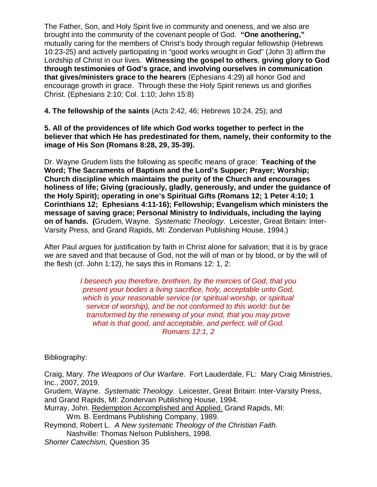The Father, Son, and Holy Spirit live in community and oneness, and we also are brought into the community of the covenant people of God. **"One anothering,"** mutually caring for the members of Christ's body through regular fellowship (Hebrews 10:23-25) and actively participating in "good works wrought in God" (John 3) affirm the Lordship of Christ in our lives. **Witnessing the gospel to others**, **giving glory to God through testimonies of God's grace, and involving ourselves in communication that gives/ministers grace to the hearers** (Ephesians 4:29) all honor God and encourage growth in grace. Through these the Holy Spirit renews us and glorifies Christ. (Ephesians 2:10; Col. 1:10; John 15:8)

**4. The fellowship of the saints** (Acts 2:42, 46; Hebrews 10:24, 25); and

**5. All of the providences of life which God works together to perfect in the believer that which He has predestinated for them, namely, their conformity to the image of His Son (Romans 8:28, 29, 35-39).** 

Dr. Wayne Grudem lists the following as specific means of grace: **Teaching of the Word; The Sacraments of Baptism and the Lord's Supper; Prayer; Worship; Church discipline which maintains the purity of the Church and encourages holiness of life; Giving (graciously, gladly, generously, and under the guidance of the Holy Spirit); operating in one's Spiritual Gifts (Romans 12; 1 Peter 4:10; 1 Corinthians 12; Ephesians 4:11-16); Fellowship; Evangelism which ministers the message of saving grace; Personal Ministry to Individuals, including the laying on of hands. (**Grudem, Wayne. Systematic Theology. Leicester, Great Britain: Inter-Varsity Press, and Grand Rapids, MI: Zondervan Publishing House, 1994.)

After Paul argues for justification by faith in Christ alone for salvation; that it is by grace we are saved and that because of God, not the will of man or by blood, or by the will of the flesh (cf. John 1:12), he says this in Romans 12: 1, 2:

> I beseech you therefore, brethren, by the mercies of God, that you present your bodies a living sacrifice, holy, acceptable unto God, which is your reasonable service (or spiritual worship, or spiritual service of worship), and be not conformed to this world: but be transformed by the renewing of your mind, that you may prove what is that good, and acceptable, and perfect, will of God. Romans 12:1, 2

Bibliography:

Craig, Mary. The Weapons of Our Warfare. Fort Lauderdale, FL: Mary Craig Ministries, Inc., 2007, 2019.

Grudem, Wayne. Systematic Theology. Leicester, Great Britain: Inter-Varsity Press, and Grand Rapids, MI: Zondervan Publishing House, 1994.

Murray, John. Redemption Accomplished and Applied. Grand Rapids, MI:

Wm. B. Eerdmans Publishing Company, 1989.

Reymond, Robert L. A New systematic Theology of the Christian Faith. Nashville: Thomas Nelson Publishers, 1998.

Shorter Catechism, Question 35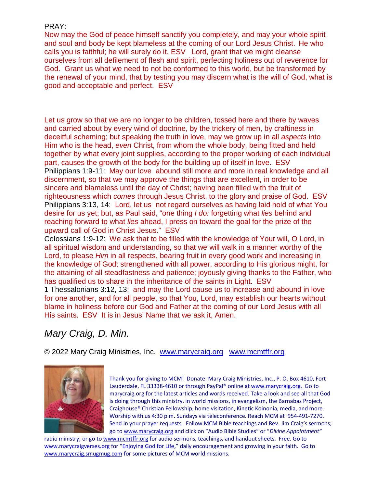## PRAY:

Now may the God of peace himself sanctify you completely, and may your whole spirit and soul and body be kept blameless at the coming of our Lord Jesus Christ. He who calls you is faithful; he will surely do it. ESV Lord, grant that we might cleanse ourselves from all defilement of flesh and spirit, perfecting holiness out of reverence for God. Grant us what we need to not be conformed to this world, but be transformed by the renewal of your mind, that by testing you may discern what is the will of God, what is good and acceptable and perfect. ESV

Let us grow so that we are no longer to be children, tossed here and there by waves and carried about by every wind of doctrine, by the trickery of men, by craftiness in deceitful scheming; but speaking the truth in love, may we grow up in all aspects into Him who is the head, even Christ, from whom the whole body, being fitted and held together by what every joint supplies, according to the proper working of each individual part, causes the growth of the body for the building up of itself in love. ESV Philippians 1:9-11: May our love abound still more and more in real knowledge and all discernment, so that we may approve the things that are excellent, in order to be sincere and blameless until the day of Christ; having been filled with the fruit of righteousness which comes through Jesus Christ, to the glory and praise of God. ESV Philippians 3:13, 14: Lord, let us not regard ourselves as having laid hold of what You desire for us yet; but, as Paul said, "one thing *I do:* forgetting what *lies* behind and reaching forward to what *lies* ahead, I press on toward the goal for the prize of the upward call of God in Christ Jesus." ESV

Colossians 1:9-12: We ask that to be filled with the knowledge of Your will, O Lord, in all spiritual wisdom and understanding, so that we will walk in a manner worthy of the Lord, to please *Him* in all respects, bearing fruit in every good work and increasing in the knowledge of God; strengthened with all power, according to His glorious might, for the attaining of all steadfastness and patience; joyously giving thanks to the Father, who has qualified us to share in the inheritance of the saints in Light. ESV

1 Thessalonians 3:12, 13: and may the Lord cause us to increase and abound in love for one another, and for all people, so that You, Lord, may establish our hearts without blame in holiness before our God and Father at the coming of our Lord Jesus with all His saints. ESV It is in Jesus' Name that we ask it, Amen.

## Mary Craig, D. Min.

© 2022 Mary Craig Ministries, Inc. www.marycraig.org www.mcmtffr.org



Thank you for giving to MCM! Donate: Mary Craig Ministries, Inc., P. O. Box 4610, Fort Lauderdale, FL 33338-4610 or through PayPal® online at [www.marycraig.org. Go to](http://www.marycraig.org/index.html)  marycraig.org for the latest articles and words received. Take a look and see all that God is doing through this ministry, in world missions, in evangelism, the Barnabas Project, Craighouse® Christian Fellowship, home visitation, Kinetic Koinonia, media, and more. Worship with us 4:30 p.m. Sundays via teleconference. Reach MCM at 954-491-7270. Send in your prayer requests. Follow MCM Bible teachings and Rev. Jim Craig's sermons; go to [www.marycraig.org and click on "Audio Bible Studies" or "](http://www.marycraig.org/)Divine Appointment"

radio ministry; or go to [www.mcmtffr.org for audio sermons, teachings, and handout sheets. Free. Go to](http://www.mcmtffr.org/)  [www.marycraigverses.org for "Enjoying God for Life," daily encouragement and growing in your faith. Go to](http://www.marycraigverses.org/)  [www.marycraig.smugmug.com](http://www.marycraig.smugmug.com/) for some pictures of MCM world missions.